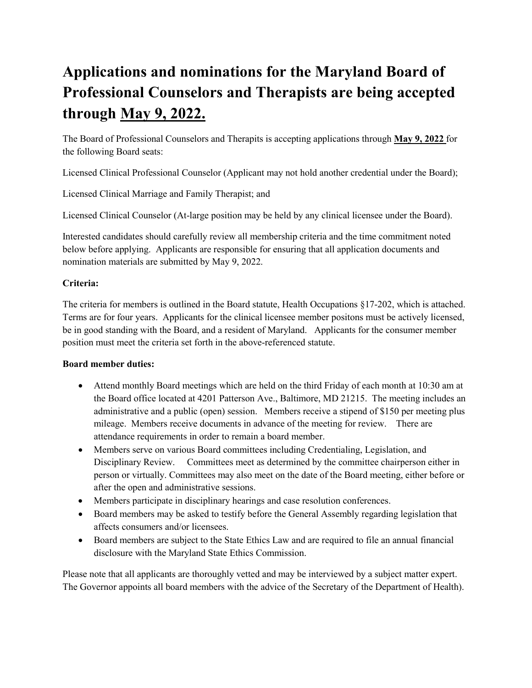# **Applications and nominations for the Maryland Board of Professional Counselors and Therapists are being accepted through May 9, 2022.**

The Board of Professional Counselors and Therapits is accepting applications through **May 9, 2022** for the following Board seats:

Licensed Clinical Professional Counselor (Applicant may not hold another credential under the Board);

Licensed Clinical Marriage and Family Therapist; and

Licensed Clinical Counselor (At-large position may be held by any clinical licensee under the Board).

Interested candidates should carefully review all membership criteria and the time commitment noted below before applying. Applicants are responsible for ensuring that all application documents and nomination materials are submitted by May 9, 2022.

## **Criteria:**

The criteria for members is outlined in the Board statute, Health Occupations §17-202, which is attached. Terms are for four years. Applicants for the clinical licensee member positons must be actively licensed, be in good standing with the Board, and a resident of Maryland. Applicants for the consumer member position must meet the criteria set forth in the above-referenced statute.

#### **Board member duties:**

- Attend monthly Board meetings which are held on the third Friday of each month at 10:30 am at the Board office located at 4201 Patterson Ave., Baltimore, MD 21215. The meeting includes an administrative and a public (open) session. Members receive a stipend of \$150 per meeting plus mileage. Members receive documents in advance of the meeting for review. There are attendance requirements in order to remain a board member.
- Members serve on various Board committees including Credentialing, Legislation, and Disciplinary Review. Committees meet as determined by the committee chairperson either in person or virtually. Committees may also meet on the date of the Board meeting, either before or after the open and administrative sessions.
- Members participate in disciplinary hearings and case resolution conferences.
- Board members may be asked to testify before the General Assembly regarding legislation that affects consumers and/or licensees.
- Board members are subject to the State Ethics Law and are required to file an annual financial disclosure with the Maryland State Ethics Commission.

Please note that all applicants are thoroughly vetted and may be interviewed by a subject matter expert. The Governor appoints all board members with the advice of the Secretary of the Department of Health).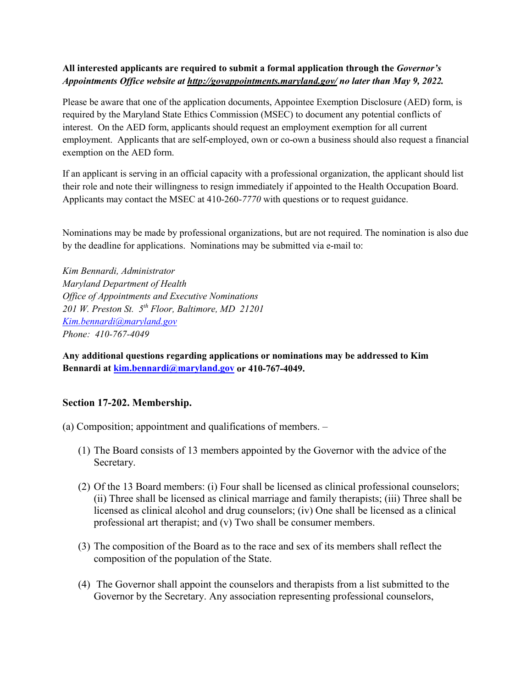### **All interested applicants are required to submit a formal application through the** *Governor's Appointments Office website at http://govappointments.maryland.gov/ no later than May 9, 2022.*

Please be aware that one of the application documents, Appointee Exemption Disclosure (AED) form, is required by the Maryland State Ethics Commission (MSEC) to document any potential conflicts of interest. On the AED form, applicants should request an employment exemption for all current employment. Applicants that are self-employed, own or co-own a business should also request a financial exemption on the AED form.

If an applicant is serving in an official capacity with a professional organization, the applicant should list their role and note their willingness to resign immediately if appointed to the Health Occupation Board. Applicants may contact the MSEC at 410-260-*7770* with questions or to request guidance.

Nominations may be made by professional organizations, but are not required. The nomination is also due by the deadline for applications. Nominations may be submitted via e-mail to:

*Kim Bennardi, Administrator Maryland Department of Health Office of Appointments and Executive Nominations 201 W. Preston St. 5th Floor, Baltimore, MD 21201 [Kim.bennardi@maryland.gov](mailto:Kim.bennardi@maryland.gov) Phone: 410-767-4049*

**Any additional questions regarding applications or nominations may be addressed to Kim Bennardi at [kim.bennardi@maryland.gov](mailto:kim.bennardi@maryland.gov) or 410-767-4049.** 

#### **Section 17-202. Membership.**

(a) Composition; appointment and qualifications of members. –

- (1) The Board consists of 13 members appointed by the Governor with the advice of the Secretary.
- (2) Of the 13 Board members: (i) Four shall be licensed as clinical professional counselors; (ii) Three shall be licensed as clinical marriage and family therapists; (iii) Three shall be licensed as clinical alcohol and drug counselors; (iv) One shall be licensed as a clinical professional art therapist; and (v) Two shall be consumer members.
- (3) The composition of the Board as to the race and sex of its members shall reflect the composition of the population of the State.
- (4) The Governor shall appoint the counselors and therapists from a list submitted to the Governor by the Secretary. Any association representing professional counselors,